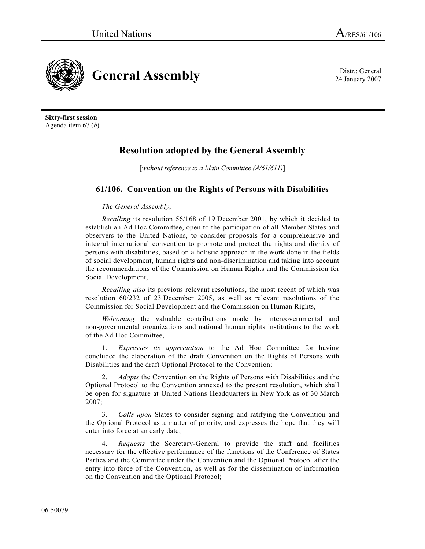

24 January 2007



**Sixty-first session**  Agenda item 67 (*b*)

# **Resolution adopted by the General Assembly**

[*without reference to a Main Committee (A/61/611)*]

# **61/106. Convention on the Rights of Persons with Disabilities**

*The General Assembly*,

*Recalling* its resolution 56/168 of 19 December 2001, by which it decided to establish an Ad Hoc Committee, open to the participation of all Member States and observers to the United Nations, to consider proposals for a comprehensive and integral international convention to promote and protect the rights and dignity of persons with disabilities, based on a holistic approach in the work done in the fields of social development, human rights and non-discrimination and taking into account the recommendations of the Commission on Human Rights and the Commission for Social Development,

*Recalling also* its previous relevant resolutions, the most recent of which was resolution 60/232 of 23 December 2005, as well as relevant resolutions of the Commission for Social Development and the Commission on Human Rights,

*Welcoming* the valuable contributions made by intergovernmental and non-governmental organizations and national human rights institutions to the work of the Ad Hoc Committee,

 1. *Expresses its appreciation* to the Ad Hoc Committee for having concluded the elaboration of the draft Convention on the Rights of Persons with Disabilities and the draft Optional Protocol to the Convention;

 2. *Adopts* the Convention on the Rights of Persons with Disabilities and the Optional Protocol to the Convention annexed to the present resolution, which shall be open for signature at United Nations Headquarters in New York as of 30 March 2007;

 3. *Calls upon* States to consider signing and ratifying the Convention and the Optional Protocol as a matter of priority, and expresses the hope that they will enter into force at an early date;

 4. *Requests* the Secretary-General to provide the staff and facilities necessary for the effective performance of the functions of the Conference of States Parties and the Committee under the Convention and the Optional Protocol after the entry into force of the Convention, as well as for the dissemination of information on the Convention and the Optional Protocol;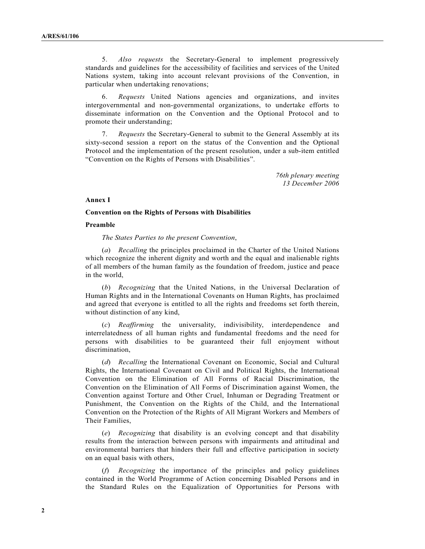5. *Also requests* the Secretary-General to implement progressively standards and guidelines for the accessibility of facilities and services of the United Nations system, taking into account relevant provisions of the Convention, in particular when undertaking renovations;

 6. *Requests* United Nations agencies and organizations, and invites intergovernmental and non-governmental organizations, to undertake efforts to disseminate information on the Convention and the Optional Protocol and to promote their understanding;

 7. *Requests* the Secretary-General to submit to the General Assembly at its sixty-second session a report on the status of the Convention and the Optional Protocol and the implementation of the present resolution, under a sub-item entitled "Convention on the Rights of Persons with Disabilities".

> *76th plenary meeting 13 December 2006*

#### **Annex I**

#### **Convention on the Rights of Persons with Disabilities**

# **Preamble**

*The States Parties to the present Convention*,

 (*a*) *Recalling* the principles proclaimed in the Charter of the United Nations which recognize the inherent dignity and worth and the equal and inalienable rights of all members of the human family as the foundation of freedom, justice and peace in the world,

 (*b*) *Recognizing* that the United Nations, in the Universal Declaration of Human Rights and in the International Covenants on Human Rights, has proclaimed and agreed that everyone is entitled to all the rights and freedoms set forth therein, without distinction of any kind,

 (*c*) *Reaffirming* the universality, indivisibility, interdependence and interrelatedness of all human rights and fundamental freedoms and the need for persons with disabilities to be guaranteed their full enjoyment without discrimination,

 (*d*) *Recalling* the International Covenant on Economic, Social and Cultural Rights, the International Covenant on Civil and Political Rights, the International Convention on the Elimination of All Forms of Racial Discrimination, the Convention on the Elimination of All Forms of Discrimination against Women, the Convention against Torture and Other Cruel, Inhuman or Degrading Treatment or Punishment, the Convention on the Rights of the Child, and the International Convention on the Protection of the Rights of All Migrant Workers and Members of Their Families,

 (*e*) *Recognizing* that disability is an evolving concept and that disability results from the interaction between persons with impairments and attitudinal and environmental barriers that hinders their full and effective participation in society on an equal basis with others,

 (*f*) *Recognizing* the importance of the principles and policy guidelines contained in the World Programme of Action concerning Disabled Persons and in the Standard Rules on the Equalization of Opportunities for Persons with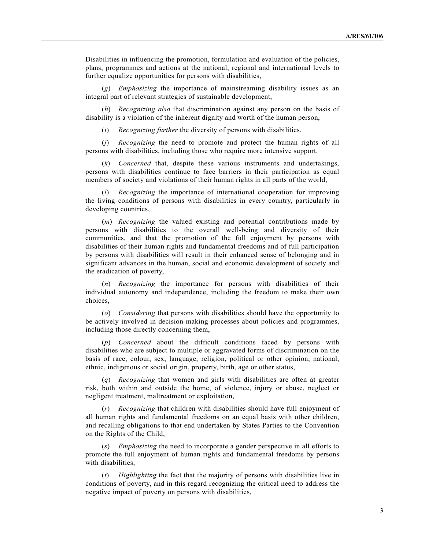Disabilities in influencing the promotion, formulation and evaluation of the policies, plans, programmes and actions at the national, regional and international levels to further equalize opportunities for persons with disabilities,

 (*g*) *Emphasizing* the importance of mainstreaming disability issues as an integral part of relevant strategies of sustainable development,

 (*h*) *Recognizing also* that discrimination against any person on the basis of disability is a violation of the inherent dignity and worth of the human person,

(*i*) *Recognizing further* the diversity of persons with disabilities,

 (*j*) *Recognizing* the need to promote and protect the human rights of all persons with disabilities, including those who require more intensive support,

 (*k*) *Concerned* that, despite these various instruments and undertakings, persons with disabilities continue to face barriers in their participation as equal members of society and violations of their human rights in all parts of the world,

 (*l*) *Recognizing* the importance of international cooperation for improving the living conditions of persons with disabilities in every country, particularly in developing countries,

 (*m*) *Recognizing* the valued existing and potential contributions made by persons with disabilities to the overall well-being and diversity of their communities, and that the promotion of the full enjoyment by persons with disabilities of their human rights and fundamental freedoms and of full participation by persons with disabilities will result in their enhanced sense of belonging and in significant advances in the human, social and economic development of society and the eradication of poverty,

 (*n*) *Recognizing* the importance for persons with disabilities of their individual autonomy and independence, including the freedom to make their own choices,

 (*o*) *Considering* that persons with disabilities should have the opportunity to be actively involved in decision-making processes about policies and programmes, including those directly concerning them,

 (*p*) *Concerned* about the difficult conditions faced by persons with disabilities who are subject to multiple or aggravated forms of discrimination on the basis of race, colour, sex, language, religion, political or other opinion, national, ethnic, indigenous or social origin, property, birth, age or other status,

 (*q*) *Recognizing* that women and girls with disabilities are often at greater risk, both within and outside the home, of violence, injury or abuse, neglect or negligent treatment, maltreatment or exploitation,

 (*r*) *Recognizing* that children with disabilities should have full enjoyment of all human rights and fundamental freedoms on an equal basis with other children, and recalling obligations to that end undertaken by States Parties to the Convention on the Rights of the Child,

 (*s*) *Emphasizing* the need to incorporate a gender perspective in all efforts to promote the full enjoyment of human rights and fundamental freedoms by persons with disabilities,

 (*t*) *Highlighting* the fact that the majority of persons with disabilities live in conditions of poverty, and in this regard recognizing the critical need to address the negative impact of poverty on persons with disabilities,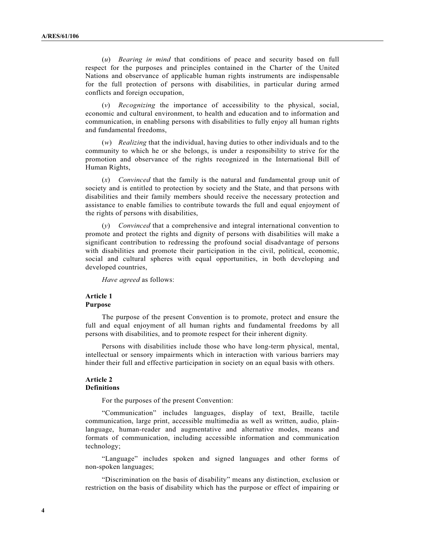(*u*) *Bearing in mind* that conditions of peace and security based on full respect for the purposes and principles contained in the Charter of the United Nations and observance of applicable human rights instruments are indispensable for the full protection of persons with disabilities, in particular during armed conflicts and foreign occupation,

 (*v*) *Recognizing* the importance of accessibility to the physical, social, economic and cultural environment, to health and education and to information and communication, in enabling persons with disabilities to fully enjoy all human rights and fundamental freedoms,

 (*w*) *Realizing* that the individual, having duties to other individuals and to the community to which he or she belongs, is under a responsibility to strive for the promotion and observance of the rights recognized in the International Bill of Human Rights,

 (*x*) *Convinced* that the family is the natural and fundamental group unit of society and is entitled to protection by society and the State, and that persons with disabilities and their family members should receive the necessary protection and assistance to enable families to contribute towards the full and equal enjoyment of the rights of persons with disabilities,

 (*y*) *Convinced* that a comprehensive and integral international convention to promote and protect the rights and dignity of persons with disabilities will make a significant contribution to redressing the profound social disadvantage of persons with disabilities and promote their participation in the civil, political, economic, social and cultural spheres with equal opportunities, in both developing and developed countries,

*Have agreed* as follows:

#### **Article 1 Purpose**

 The purpose of the present Convention is to promote, protect and ensure the full and equal enjoyment of all human rights and fundamental freedoms by all persons with disabilities, and to promote respect for their inherent dignity.

 Persons with disabilities include those who have long-term physical, mental, intellectual or sensory impairments which in interaction with various barriers may hinder their full and effective participation in society on an equal basis with others.

# **Article 2 Definitions**

For the purposes of the present Convention:

 "Communication" includes languages, display of text, Braille, tactile communication, large print, accessible multimedia as well as written, audio, plainlanguage, human-reader and augmentative and alternative modes, means and formats of communication, including accessible information and communication technology;

 "Language" includes spoken and signed languages and other forms of non-spoken languages;

 "Discrimination on the basis of disability" means any distinction, exclusion or restriction on the basis of disability which has the purpose or effect of impairing or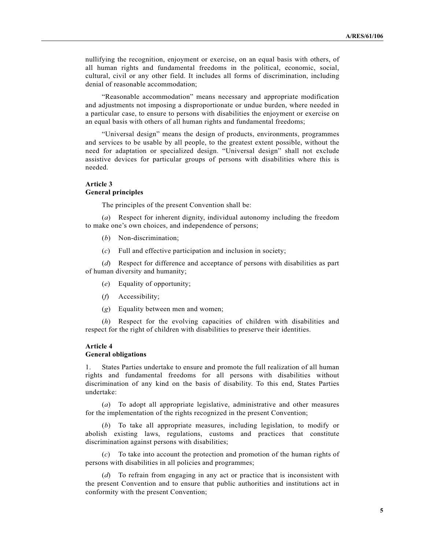nullifying the recognition, enjoyment or exercise, on an equal basis with others, of all human rights and fundamental freedoms in the political, economic, social, cultural, civil or any other field. It includes all forms of discrimination, including denial of reasonable accommodation;

 "Reasonable accommodation" means necessary and appropriate modification and adjustments not imposing a disproportionate or undue burden, where needed in a particular case, to ensure to persons with disabilities the enjoyment or exercise on an equal basis with others of all human rights and fundamental freedoms;

 "Universal design" means the design of products, environments, programmes and services to be usable by all people, to the greatest extent possible, without the need for adaptation or specialized design. "Universal design" shall not exclude assistive devices for particular groups of persons with disabilities where this is needed.

# **Article 3 General principles**

The principles of the present Convention shall be:

 (*a*) Respect for inherent dignity, individual autonomy including the freedom to make one's own choices, and independence of persons;

- (*b*) Non-discrimination;
- (*c*) Full and effective participation and inclusion in society;

 (*d*) Respect for difference and acceptance of persons with disabilities as part of human diversity and humanity;

- (*e*) Equality of opportunity;
- (*f*) Accessibility;
- (*g*) Equality between men and women;

 (*h*) Respect for the evolving capacities of children with disabilities and respect for the right of children with disabilities to preserve their identities.

#### **Article 4**

# **General obligations**

1. States Parties undertake to ensure and promote the full realization of all human rights and fundamental freedoms for all persons with disabilities without discrimination of any kind on the basis of disability. To this end, States Parties undertake:

 (*a*) To adopt all appropriate legislative, administrative and other measures for the implementation of the rights recognized in the present Convention;

 (*b*) To take all appropriate measures, including legislation, to modify or abolish existing laws, regulations, customs and practices that constitute discrimination against persons with disabilities;

 (*c*) To take into account the protection and promotion of the human rights of persons with disabilities in all policies and programmes;

 (*d*) To refrain from engaging in any act or practice that is inconsistent with the present Convention and to ensure that public authorities and institutions act in conformity with the present Convention;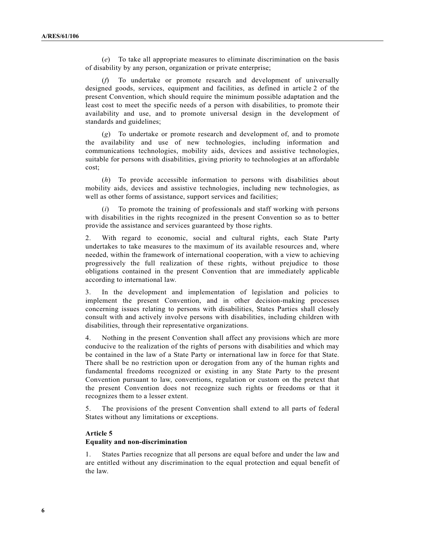(*e*) To take all appropriate measures to eliminate discrimination on the basis of disability by any person, organization or private enterprise;

 (*f*) To undertake or promote research and development of universally designed goods, services, equipment and facilities, as defined in article 2 of the present Convention, which should require the minimum possible adaptation and the least cost to meet the specific needs of a person with disabilities, to promote their availability and use, and to promote universal design in the development of standards and guidelines;

 (*g*) To undertake or promote research and development of, and to promote the availability and use of new technologies, including information and communications technologies, mobility aids, devices and assistive technologies, suitable for persons with disabilities, giving priority to technologies at an affordable cost;

 (*h*) To provide accessible information to persons with disabilities about mobility aids, devices and assistive technologies, including new technologies, as well as other forms of assistance, support services and facilities;

 (*i*) To promote the training of professionals and staff working with persons with disabilities in the rights recognized in the present Convention so as to better provide the assistance and services guaranteed by those rights.

2. With regard to economic, social and cultural rights, each State Party undertakes to take measures to the maximum of its available resources and, where needed, within the framework of international cooperation, with a view to achieving progressively the full realization of these rights, without prejudice to those obligations contained in the present Convention that are immediately applicable according to international law.

3. In the development and implementation of legislation and policies to implement the present Convention, and in other decision-making processes concerning issues relating to persons with disabilities, States Parties shall closely consult with and actively involve persons with disabilities, including children with disabilities, through their representative organizations.

4. Nothing in the present Convention shall affect any provisions which are more conducive to the realization of the rights of persons with disabilities and which may be contained in the law of a State Party or international law in force for that State. There shall be no restriction upon or derogation from any of the human rights and fundamental freedoms recognized or existing in any State Party to the present Convention pursuant to law, conventions, regulation or custom on the pretext that the present Convention does not recognize such rights or freedoms or that it recognizes them to a lesser extent.

5. The provisions of the present Convention shall extend to all parts of federal States without any limitations or exceptions.

#### **Article 5**

# **Equality and non-discrimination**

1. States Parties recognize that all persons are equal before and under the law and are entitled without any discrimination to the equal protection and equal benefit of the law.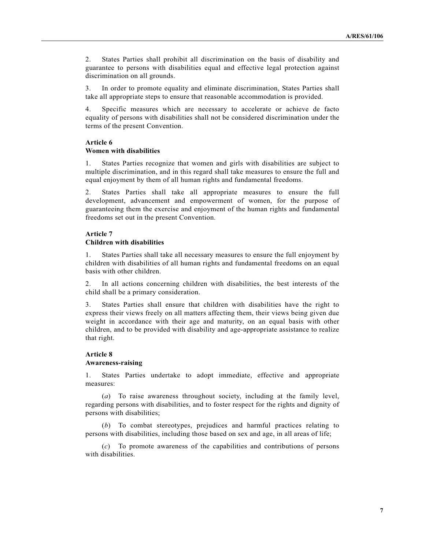2. States Parties shall prohibit all discrimination on the basis of disability and guarantee to persons with disabilities equal and effective legal protection against discrimination on all grounds.

3. In order to promote equality and eliminate discrimination, States Parties shall take all appropriate steps to ensure that reasonable accommodation is provided.

4. Specific measures which are necessary to accelerate or achieve de facto equality of persons with disabilities shall not be considered discrimination under the terms of the present Convention.

# **Article 6**

# **Women with disabilities**

1. States Parties recognize that women and girls with disabilities are subject to multiple discrimination, and in this regard shall take measures to ensure the full and equal enjoyment by them of all human rights and fundamental freedoms.

2. States Parties shall take all appropriate measures to ensure the full development, advancement and empowerment of women, for the purpose of guaranteeing them the exercise and enjoyment of the human rights and fundamental freedoms set out in the present Convention.

# **Article 7**

# **Children with disabilities**

1. States Parties shall take all necessary measures to ensure the full enjoyment by children with disabilities of all human rights and fundamental freedoms on an equal basis with other children.

2. In all actions concerning children with disabilities, the best interests of the child shall be a primary consideration.

3. States Parties shall ensure that children with disabilities have the right to express their views freely on all matters affecting them, their views being given due weight in accordance with their age and maturity, on an equal basis with other children, and to be provided with disability and age-appropriate assistance to realize that right.

# **Article 8 Awareness-raising**

1. States Parties undertake to adopt immediate, effective and appropriate measures:

 (*a*) To raise awareness throughout society, including at the family level, regarding persons with disabilities, and to foster respect for the rights and dignity of persons with disabilities;

 (*b*) To combat stereotypes, prejudices and harmful practices relating to persons with disabilities, including those based on sex and age, in all areas of life;

 (*c*) To promote awareness of the capabilities and contributions of persons with disabilities.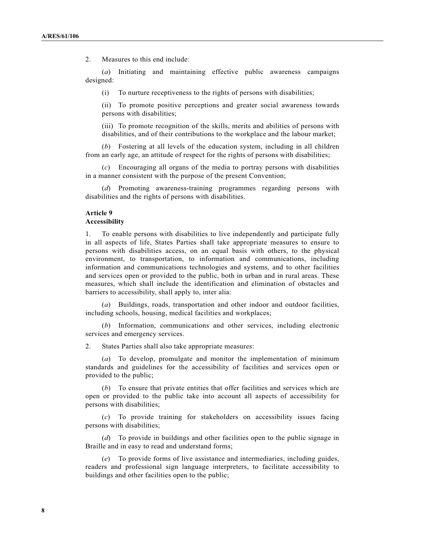2. Measures to this end include:

 (*a*) Initiating and maintaining effective public awareness campaigns designed:

(i) To nurture receptiveness to the rights of persons with disabilities;

 (ii) To promote positive perceptions and greater social awareness towards persons with disabilities;

 (iii) To promote recognition of the skills, merits and abilities of persons with disabilities, and of their contributions to the workplace and the labour market;

 (*b*) Fostering at all levels of the education system, including in all children from an early age, an attitude of respect for the rights of persons with disabilities;

 (*c*) Encouraging all organs of the media to portray persons with disabilities in a manner consistent with the purpose of the present Convention;

 (*d*) Promoting awareness-training programmes regarding persons with disabilities and the rights of persons with disabilities.

# **Article 9 Accessibility**

1. To enable persons with disabilities to live independently and participate fully in all aspects of life, States Parties shall take appropriate measures to ensure to persons with disabilities access, on an equal basis with others, to the physical environment, to transportation, to information and communications, including information and communications technologies and systems, and to other facilities and services open or provided to the public, both in urban and in rural areas. These measures, which shall include the identification and elimination of obstacles and barriers to accessibility, shall apply to, inter alia:

 (*a*) Buildings, roads, transportation and other indoor and outdoor facilities, including schools, housing, medical facilities and workplaces;

 (*b*) Information, communications and other services, including electronic services and emergency services.

2. States Parties shall also take appropriate measures:

 (*a*) To develop, promulgate and monitor the implementation of minimum standards and guidelines for the accessibility of facilities and services open or provided to the public;

 (*b*) To ensure that private entities that offer facilities and services which are open or provided to the public take into account all aspects of accessibility for persons with disabilities;

 (*c*) To provide training for stakeholders on accessibility issues facing persons with disabilities;

 (*d*) To provide in buildings and other facilities open to the public signage in Braille and in easy to read and understand forms;

To provide forms of live assistance and intermediaries, including guides, readers and professional sign language interpreters, to facilitate accessibility to buildings and other facilities open to the public;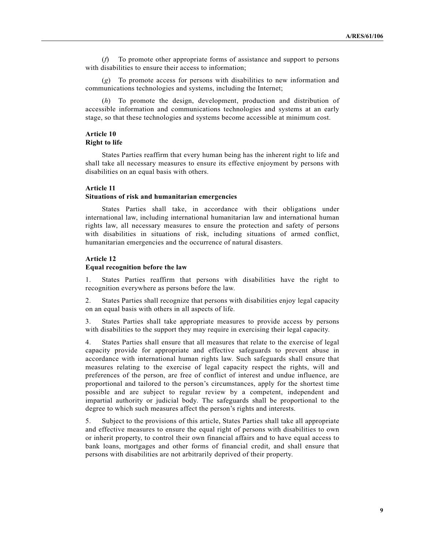(*f*) To promote other appropriate forms of assistance and support to persons with disabilities to ensure their access to information;

 (*g*) To promote access for persons with disabilities to new information and communications technologies and systems, including the Internet;

 (*h*) To promote the design, development, production and distribution of accessible information and communications technologies and systems at an early stage, so that these technologies and systems become accessible at minimum cost.

#### **Article 10 Right to life**

 States Parties reaffirm that every human being has the inherent right to life and shall take all necessary measures to ensure its effective enjoyment by persons with disabilities on an equal basis with others.

#### **Article 11**

#### **Situations of risk and humanitarian emergencies**

 States Parties shall take, in accordance with their obligations under international law, including international humanitarian law and international human rights law, all necessary measures to ensure the protection and safety of persons with disabilities in situations of risk, including situations of armed conflict, humanitarian emergencies and the occurrence of natural disasters.

# **Article 12**

#### **Equal recognition before the law**

1. States Parties reaffirm that persons with disabilities have the right to recognition everywhere as persons before the law.

2. States Parties shall recognize that persons with disabilities enjoy legal capacity on an equal basis with others in all aspects of life.

3. States Parties shall take appropriate measures to provide access by persons with disabilities to the support they may require in exercising their legal capacity.

4. States Parties shall ensure that all measures that relate to the exercise of legal capacity provide for appropriate and effective safeguards to prevent abuse in accordance with international human rights law. Such safeguards shall ensure that measures relating to the exercise of legal capacity respect the rights, will and preferences of the person, are free of conflict of interest and undue influence, are proportional and tailored to the person's circumstances, apply for the shortest time possible and are subject to regular review by a competent, independent and impartial authority or judicial body. The safeguards shall be proportional to the degree to which such measures affect the person's rights and interests.

5. Subject to the provisions of this article, States Parties shall take all appropriate and effective measures to ensure the equal right of persons with disabilities to own or inherit property, to control their own financial affairs and to have equal access to bank loans, mortgages and other forms of financial credit, and shall ensure that persons with disabilities are not arbitrarily deprived of their property.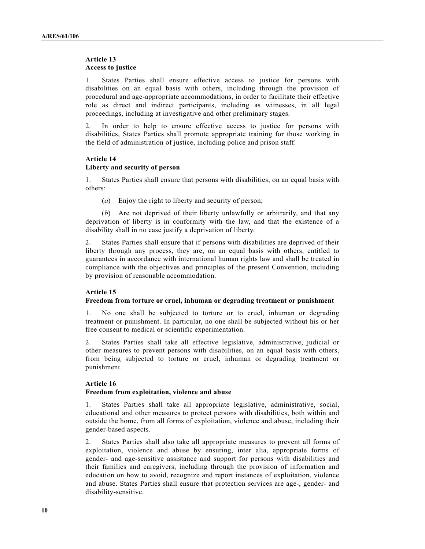#### **Article 13 Access to justice**

1. States Parties shall ensure effective access to justice for persons with disabilities on an equal basis with others, including through the provision of procedural and age-appropriate accommodations, in order to facilitate their effective role as direct and indirect participants, including as witnesses, in all legal proceedings, including at investigative and other preliminary stages.

2. In order to help to ensure effective access to justice for persons with disabilities, States Parties shall promote appropriate training for those working in the field of administration of justice, including police and prison staff.

#### **Article 14**

# **Liberty and security of person**

1. States Parties shall ensure that persons with disabilities, on an equal basis with others:

(*a*) Enjoy the right to liberty and security of person;

 (*b*) Are not deprived of their liberty unlawfully or arbitrarily, and that any deprivation of liberty is in conformity with the law, and that the existence of a disability shall in no case justify a deprivation of liberty.

2. States Parties shall ensure that if persons with disabilities are deprived of their liberty through any process, they are, on an equal basis with others, entitled to guarantees in accordance with international human rights law and shall be treated in compliance with the objectives and principles of the present Convention, including by provision of reasonable accommodation.

# **Article 15**

#### **Freedom from torture or cruel, inhuman or degrading treatment or punishment**

1. No one shall be subjected to torture or to cruel, inhuman or degrading treatment or punishment. In particular, no one shall be subjected without his or her free consent to medical or scientific experimentation.

2. States Parties shall take all effective legislative, administrative, judicial or other measures to prevent persons with disabilities, on an equal basis with others, from being subjected to torture or cruel, inhuman or degrading treatment or punishment.

#### **Article 16**

#### **Freedom from exploitation, violence and abuse**

1. States Parties shall take all appropriate legislative, administrative, social, educational and other measures to protect persons with disabilities, both within and outside the home, from all forms of exploitation, violence and abuse, including their gender-based aspects.

2. States Parties shall also take all appropriate measures to prevent all forms of exploitation, violence and abuse by ensuring, inter alia, appropriate forms of gender- and age-sensitive assistance and support for persons with disabilities and their families and caregivers, including through the provision of information and education on how to avoid, recognize and report instances of exploitation, violence and abuse. States Parties shall ensure that protection services are age-, gender- and disability-sensitive.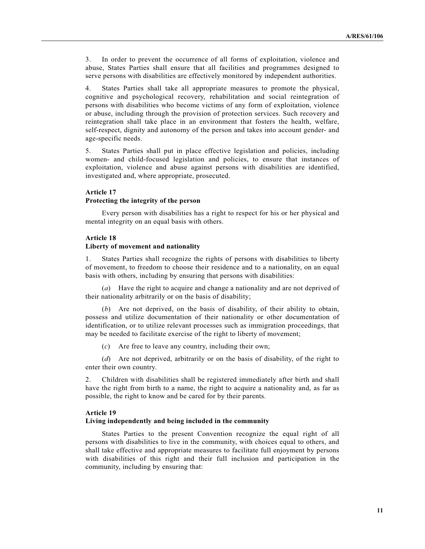3. In order to prevent the occurrence of all forms of exploitation, violence and abuse, States Parties shall ensure that all facilities and programmes designed to serve persons with disabilities are effectively monitored by independent authorities.

4. States Parties shall take all appropriate measures to promote the physical, cognitive and psychological recovery, rehabilitation and social reintegration of persons with disabilities who become victims of any form of exploitation, violence or abuse, including through the provision of protection services. Such recovery and reintegration shall take place in an environment that fosters the health, welfare, self-respect, dignity and autonomy of the person and takes into account gender- and age-specific needs.

5. States Parties shall put in place effective legislation and policies, including women- and child-focused legislation and policies, to ensure that instances of exploitation, violence and abuse against persons with disabilities are identified, investigated and, where appropriate, prosecuted.

#### **Article 17**

# **Protecting the integrity of the person**

 Every person with disabilities has a right to respect for his or her physical and mental integrity on an equal basis with others.

#### **Article 18**

# **Liberty of movement and nationality**

1. States Parties shall recognize the rights of persons with disabilities to liberty of movement, to freedom to choose their residence and to a nationality, on an equal basis with others, including by ensuring that persons with disabilities:

 (*a*) Have the right to acquire and change a nationality and are not deprived of their nationality arbitrarily or on the basis of disability;

 (*b*) Are not deprived, on the basis of disability, of their ability to obtain, possess and utilize documentation of their nationality or other documentation of identification, or to utilize relevant processes such as immigration proceedings, that may be needed to facilitate exercise of the right to liberty of movement;

(*c*) Are free to leave any country, including their own;

 (*d*) Are not deprived, arbitrarily or on the basis of disability, of the right to enter their own country.

2. Children with disabilities shall be registered immediately after birth and shall have the right from birth to a name, the right to acquire a nationality and, as far as possible, the right to know and be cared for by their parents.

# **Article 19**

#### **Living independently and being included in the community**

 States Parties to the present Convention recognize the equal right of all persons with disabilities to live in the community, with choices equal to others, and shall take effective and appropriate measures to facilitate full enjoyment by persons with disabilities of this right and their full inclusion and participation in the community, including by ensuring that: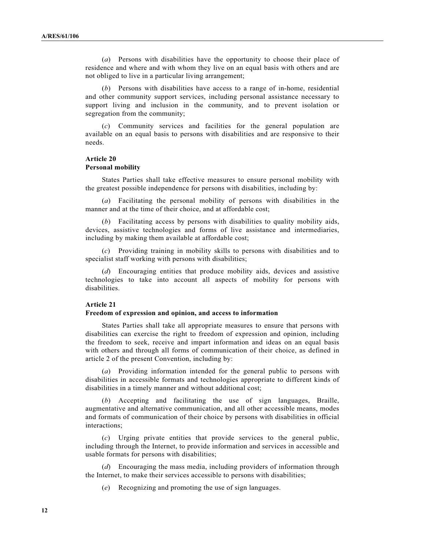(*a*) Persons with disabilities have the opportunity to choose their place of residence and where and with whom they live on an equal basis with others and are not obliged to live in a particular living arrangement;

 (*b*) Persons with disabilities have access to a range of in-home, residential and other community support services, including personal assistance necessary to support living and inclusion in the community, and to prevent isolation or segregation from the community;

 (*c*) Community services and facilities for the general population are available on an equal basis to persons with disabilities and are responsive to their needs.

# **Article 20 Personal mobility**

 States Parties shall take effective measures to ensure personal mobility with the greatest possible independence for persons with disabilities, including by:

 (*a*) Facilitating the personal mobility of persons with disabilities in the manner and at the time of their choice, and at affordable cost;

 (*b*) Facilitating access by persons with disabilities to quality mobility aids, devices, assistive technologies and forms of live assistance and intermediaries, including by making them available at affordable cost;

 (*c*) Providing training in mobility skills to persons with disabilities and to specialist staff working with persons with disabilities;

 (*d*) Encouraging entities that produce mobility aids, devices and assistive technologies to take into account all aspects of mobility for persons with disabilities.

# **Article 21**

#### **Freedom of expression and opinion, and access to information**

 States Parties shall take all appropriate measures to ensure that persons with disabilities can exercise the right to freedom of expression and opinion, including the freedom to seek, receive and impart information and ideas on an equal basis with others and through all forms of communication of their choice, as defined in article 2 of the present Convention, including by:

 (*a*) Providing information intended for the general public to persons with disabilities in accessible formats and technologies appropriate to different kinds of disabilities in a timely manner and without additional cost;

 (*b*) Accepting and facilitating the use of sign languages, Braille, augmentative and alternative communication, and all other accessible means, modes and formats of communication of their choice by persons with disabilities in official interactions;

 (*c*) Urging private entities that provide services to the general public, including through the Internet, to provide information and services in accessible and usable formats for persons with disabilities;

 (*d*) Encouraging the mass media, including providers of information through the Internet, to make their services accessible to persons with disabilities;

(*e*) Recognizing and promoting the use of sign languages.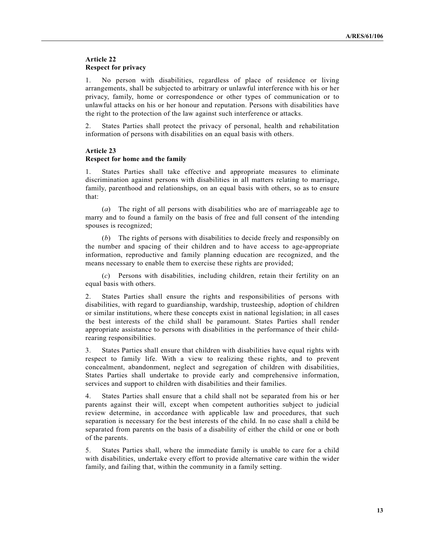# **Article 22 Respect for privacy**

1. No person with disabilities, regardless of place of residence or living arrangements, shall be subjected to arbitrary or unlawful interference with his or her privacy, family, home or correspondence or other types of communication or to unlawful attacks on his or her honour and reputation. Persons with disabilities have the right to the protection of the law against such interference or attacks.

2. States Parties shall protect the privacy of personal, health and rehabilitation information of persons with disabilities on an equal basis with others.

# **Article 23**

#### **Respect for home and the family**

1. States Parties shall take effective and appropriate measures to eliminate discrimination against persons with disabilities in all matters relating to marriage, family, parenthood and relationships, on an equal basis with others, so as to ensure that:

 (*a*) The right of all persons with disabilities who are of marriageable age to marry and to found a family on the basis of free and full consent of the intending spouses is recognized;

 (*b*) The rights of persons with disabilities to decide freely and responsibly on the number and spacing of their children and to have access to age-appropriate information, reproductive and family planning education are recognized, and the means necessary to enable them to exercise these rights are provided;

Persons with disabilities, including children, retain their fertility on an equal basis with others.

2. States Parties shall ensure the rights and responsibilities of persons with disabilities, with regard to guardianship, wardship, trusteeship, adoption of children or similar institutions, where these concepts exist in national legislation; in all cases the best interests of the child shall be paramount. States Parties shall render appropriate assistance to persons with disabilities in the performance of their childrearing responsibilities.

3. States Parties shall ensure that children with disabilities have equal rights with respect to family life. With a view to realizing these rights, and to prevent concealment, abandonment, neglect and segregation of children with disabilities, States Parties shall undertake to provide early and comprehensive information, services and support to children with disabilities and their families.

4. States Parties shall ensure that a child shall not be separated from his or her parents against their will, except when competent authorities subject to judicial review determine, in accordance with applicable law and procedures, that such separation is necessary for the best interests of the child. In no case shall a child be separated from parents on the basis of a disability of either the child or one or both of the parents.

5. States Parties shall, where the immediate family is unable to care for a child with disabilities, undertake every effort to provide alternative care within the wider family, and failing that, within the community in a family setting.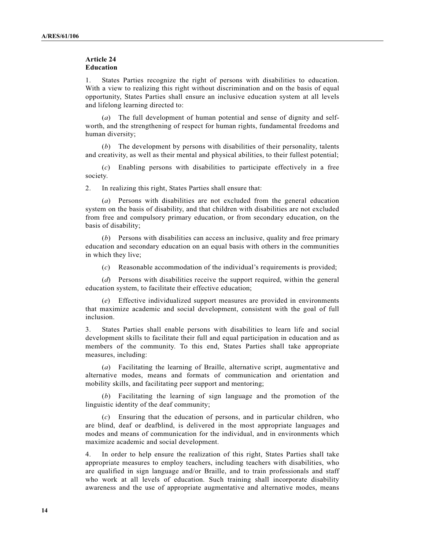#### **Article 24 Education**

1. States Parties recognize the right of persons with disabilities to education. With a view to realizing this right without discrimination and on the basis of equal opportunity, States Parties shall ensure an inclusive education system at all levels and lifelong learning directed to:

 (*a*) The full development of human potential and sense of dignity and selfworth, and the strengthening of respect for human rights, fundamental freedoms and human diversity;

 (*b*) The development by persons with disabilities of their personality, talents and creativity, as well as their mental and physical abilities, to their fullest potential;

 (*c*) Enabling persons with disabilities to participate effectively in a free society.

2. In realizing this right, States Parties shall ensure that:

 (*a*) Persons with disabilities are not excluded from the general education system on the basis of disability, and that children with disabilities are not excluded from free and compulsory primary education, or from secondary education, on the basis of disability;

 (*b*) Persons with disabilities can access an inclusive, quality and free primary education and secondary education on an equal basis with others in the communities in which they live;

(*c*) Reasonable accommodation of the individual's requirements is provided;

 (*d*) Persons with disabilities receive the support required, within the general education system, to facilitate their effective education;

 (*e*) Effective individualized support measures are provided in environments that maximize academic and social development, consistent with the goal of full inclusion.

3. States Parties shall enable persons with disabilities to learn life and social development skills to facilitate their full and equal participation in education and as members of the community. To this end, States Parties shall take appropriate measures, including:

 (*a*) Facilitating the learning of Braille, alternative script, augmentative and alternative modes, means and formats of communication and orientation and mobility skills, and facilitating peer support and mentoring;

 (*b*) Facilitating the learning of sign language and the promotion of the linguistic identity of the deaf community;

 (*c*) Ensuring that the education of persons, and in particular children, who are blind, deaf or deafblind, is delivered in the most appropriate languages and modes and means of communication for the individual, and in environments which maximize academic and social development.

4. In order to help ensure the realization of this right, States Parties shall take appropriate measures to employ teachers, including teachers with disabilities, who are qualified in sign language and/or Braille, and to train professionals and staff who work at all levels of education. Such training shall incorporate disability awareness and the use of appropriate augmentative and alternative modes, means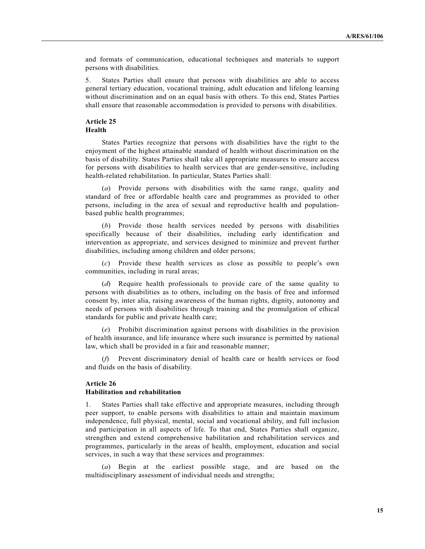and formats of communication, educational techniques and materials to support persons with disabilities.

5. States Parties shall ensure that persons with disabilities are able to access general tertiary education, vocational training, adult education and lifelong learning without discrimination and on an equal basis with others. To this end, States Parties shall ensure that reasonable accommodation is provided to persons with disabilities.

# **Article 25 Health**

 States Parties recognize that persons with disabilities have the right to the enjoyment of the highest attainable standard of health without discrimination on the basis of disability. States Parties shall take all appropriate measures to ensure access for persons with disabilities to health services that are gender-sensitive, including health-related rehabilitation. In particular, States Parties shall:

 (*a*) Provide persons with disabilities with the same range, quality and standard of free or affordable health care and programmes as provided to other persons, including in the area of sexual and reproductive health and populationbased public health programmes;

 (*b*) Provide those health services needed by persons with disabilities specifically because of their disabilities, including early identification and intervention as appropriate, and services designed to minimize and prevent further disabilities, including among children and older persons;

 (*c*) Provide these health services as close as possible to people's own communities, including in rural areas;

 (*d*) Require health professionals to provide care of the same quality to persons with disabilities as to others, including on the basis of free and informed consent by, inter alia, raising awareness of the human rights, dignity, autonomy and needs of persons with disabilities through training and the promulgation of ethical standards for public and private health care;

 (*e*) Prohibit discrimination against persons with disabilities in the provision of health insurance, and life insurance where such insurance is permitted by national law, which shall be provided in a fair and reasonable manner;

 (*f*) Prevent discriminatory denial of health care or health services or food and fluids on the basis of disability.

# **Article 26**

#### **Habilitation and rehabilitation**

1. States Parties shall take effective and appropriate measures, including through peer support, to enable persons with disabilities to attain and maintain maximum independence, full physical, mental, social and vocational ability, and full inclusion and participation in all aspects of life. To that end, States Parties shall organize, strengthen and extend comprehensive habilitation and rehabilitation services and programmes, particularly in the areas of health, employment, education and social services, in such a way that these services and programmes:

 (*a*) Begin at the earliest possible stage, and are based on the multidisciplinary assessment of individual needs and strengths;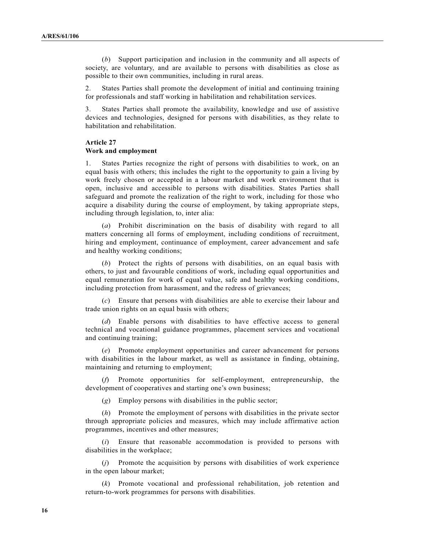(*b*) Support participation and inclusion in the community and all aspects of society, are voluntary, and are available to persons with disabilities as close as possible to their own communities, including in rural areas.

2. States Parties shall promote the development of initial and continuing training for professionals and staff working in habilitation and rehabilitation services.

3. States Parties shall promote the availability, knowledge and use of assistive devices and technologies, designed for persons with disabilities, as they relate to habilitation and rehabilitation.

# **Article 27 Work and employment**

1. States Parties recognize the right of persons with disabilities to work, on an equal basis with others; this includes the right to the opportunity to gain a living by work freely chosen or accepted in a labour market and work environment that is open, inclusive and accessible to persons with disabilities. States Parties shall safeguard and promote the realization of the right to work, including for those who acquire a disability during the course of employment, by taking appropriate steps, including through legislation, to, inter alia:

 (*a*) Prohibit discrimination on the basis of disability with regard to all matters concerning all forms of employment, including conditions of recruitment, hiring and employment, continuance of employment, career advancement and safe and healthy working conditions;

 (*b*) Protect the rights of persons with disabilities, on an equal basis with others, to just and favourable conditions of work, including equal opportunities and equal remuneration for work of equal value, safe and healthy working conditions, including protection from harassment, and the redress of grievances;

 (*c*) Ensure that persons with disabilities are able to exercise their labour and trade union rights on an equal basis with others;

 (*d*) Enable persons with disabilities to have effective access to general technical and vocational guidance programmes, placement services and vocational and continuing training;

 (*e*) Promote employment opportunities and career advancement for persons with disabilities in the labour market, as well as assistance in finding, obtaining, maintaining and returning to employment;

 (*f*) Promote opportunities for self-employment, entrepreneurship, the development of cooperatives and starting one's own business;

(*g*) Employ persons with disabilities in the public sector;

 (*h*) Promote the employment of persons with disabilities in the private sector through appropriate policies and measures, which may include affirmative action programmes, incentives and other measures;

 (*i*) Ensure that reasonable accommodation is provided to persons with disabilities in the workplace;

 (*j*) Promote the acquisition by persons with disabilities of work experience in the open labour market;

 (*k*) Promote vocational and professional rehabilitation, job retention and return-to-work programmes for persons with disabilities.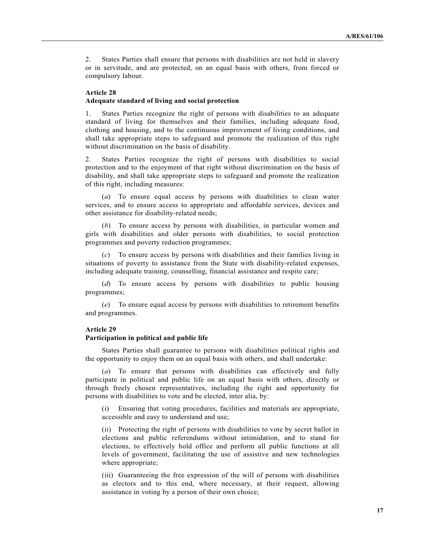2. States Parties shall ensure that persons with disabilities are not held in slavery or in servitude, and are protected, on an equal basis with others, from forced or compulsory labour.

# **Article 28**

#### **Adequate standard of living and social protection**

1. States Parties recognize the right of persons with disabilities to an adequate standard of living for themselves and their families, including adequate food, clothing and housing, and to the continuous improvement of living conditions, and shall take appropriate steps to safeguard and promote the realization of this right without discrimination on the basis of disability.

2. States Parties recognize the right of persons with disabilities to social protection and to the enjoyment of that right without discrimination on the basis of disability, and shall take appropriate steps to safeguard and promote the realization of this right, including measures:

 (*a*) To ensure equal access by persons with disabilities to clean water services, and to ensure access to appropriate and affordable services, devices and other assistance for disability-related needs;

 (*b*) To ensure access by persons with disabilities, in particular women and girls with disabilities and older persons with disabilities, to social protection programmes and poverty reduction programmes;

 (*c*) To ensure access by persons with disabilities and their families living in situations of poverty to assistance from the State with disability-related expenses, including adequate training, counselling, financial assistance and respite care;

 (*d*) To ensure access by persons with disabilities to public housing programmes;

 (*e*) To ensure equal access by persons with disabilities to retirement benefits and programmes.

#### **Article 29**

# **Participation in political and public life**

 States Parties shall guarantee to persons with disabilities political rights and the opportunity to enjoy them on an equal basis with others, and shall undertake:

 (*a*) To ensure that persons with disabilities can effectively and fully participate in political and public life on an equal basis with others, directly or through freely chosen representatives, including the right and opportunity for persons with disabilities to vote and be elected, inter alia, by:

 (i) Ensuring that voting procedures, facilities and materials are appropriate, accessible and easy to understand and use;

 (ii) Protecting the right of persons with disabilities to vote by secret ballot in elections and public referendums without intimidation, and to stand for elections, to effectively hold office and perform all public functions at all levels of government, facilitating the use of assistive and new technologies where appropriate;

 (iii) Guaranteeing the free expression of the will of persons with disabilities as electors and to this end, where necessary, at their request, allowing assistance in voting by a person of their own choice;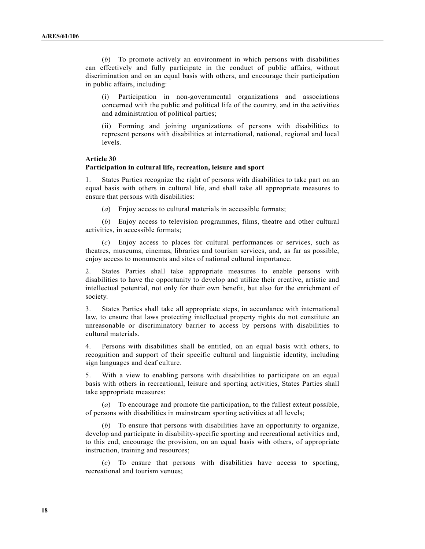(*b*) To promote actively an environment in which persons with disabilities can effectively and fully participate in the conduct of public affairs, without discrimination and on an equal basis with others, and encourage their participation in public affairs, including:

 (i) Participation in non-governmental organizations and associations concerned with the public and political life of the country, and in the activities and administration of political parties;

 (ii) Forming and joining organizations of persons with disabilities to represent persons with disabilities at international, national, regional and local levels.

#### **Article 30**

#### **Participation in cultural life, recreation, leisure and sport**

1. States Parties recognize the right of persons with disabilities to take part on an equal basis with others in cultural life, and shall take all appropriate measures to ensure that persons with disabilities:

(*a*) Enjoy access to cultural materials in accessible formats;

 (*b*) Enjoy access to television programmes, films, theatre and other cultural activities, in accessible formats;

 (*c*) Enjoy access to places for cultural performances or services, such as theatres, museums, cinemas, libraries and tourism services, and, as far as possible, enjoy access to monuments and sites of national cultural importance.

2. States Parties shall take appropriate measures to enable persons with disabilities to have the opportunity to develop and utilize their creative, artistic and intellectual potential, not only for their own benefit, but also for the enrichment of society.

3. States Parties shall take all appropriate steps, in accordance with international law, to ensure that laws protecting intellectual property rights do not constitute an unreasonable or discriminatory barrier to access by persons with disabilities to cultural materials.

4. Persons with disabilities shall be entitled, on an equal basis with others, to recognition and support of their specific cultural and linguistic identity, including sign languages and deaf culture.

5. With a view to enabling persons with disabilities to participate on an equal basis with others in recreational, leisure and sporting activities, States Parties shall take appropriate measures:

 (*a*) To encourage and promote the participation, to the fullest extent possible, of persons with disabilities in mainstream sporting activities at all levels;

 (*b*) To ensure that persons with disabilities have an opportunity to organize, develop and participate in disability-specific sporting and recreational activities and, to this end, encourage the provision, on an equal basis with others, of appropriate instruction, training and resources;

 (*c*) To ensure that persons with disabilities have access to sporting, recreational and tourism venues;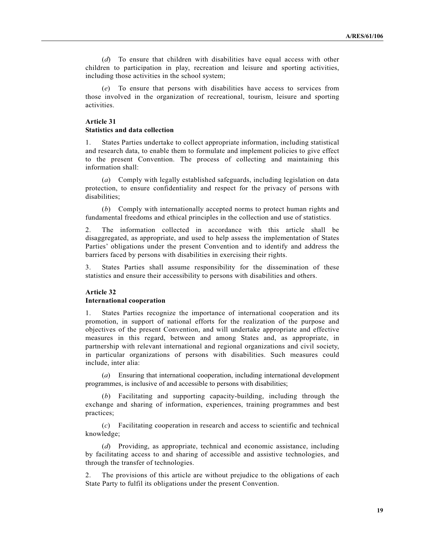(*d*) To ensure that children with disabilities have equal access with other children to participation in play, recreation and leisure and sporting activities, including those activities in the school system;

 (*e*) To ensure that persons with disabilities have access to services from those involved in the organization of recreational, tourism, leisure and sporting activities.

# **Article 31 Statistics and data collection**

1. States Parties undertake to collect appropriate information, including statistical and research data, to enable them to formulate and implement policies to give effect to the present Convention. The process of collecting and maintaining this information shall:

 (*a*) Comply with legally established safeguards, including legislation on data protection, to ensure confidentiality and respect for the privacy of persons with disabilities;

 (*b*) Comply with internationally accepted norms to protect human rights and fundamental freedoms and ethical principles in the collection and use of statistics.

2. The information collected in accordance with this article shall be disaggregated, as appropriate, and used to help assess the implementation of States Parties' obligations under the present Convention and to identify and address the barriers faced by persons with disabilities in exercising their rights.

3. States Parties shall assume responsibility for the dissemination of these statistics and ensure their accessibility to persons with disabilities and others.

# **Article 32**

#### **International cooperation**

1. States Parties recognize the importance of international cooperation and its promotion, in support of national efforts for the realization of the purpose and objectives of the present Convention, and will undertake appropriate and effective measures in this regard, between and among States and, as appropriate, in partnership with relevant international and regional organizations and civil society, in particular organizations of persons with disabilities. Such measures could include, inter alia:

 (*a*) Ensuring that international cooperation, including international development programmes, is inclusive of and accessible to persons with disabilities;

 (*b*) Facilitating and supporting capacity-building, including through the exchange and sharing of information, experiences, training programmes and best practices;

 (*c*) Facilitating cooperation in research and access to scientific and technical knowledge;

 (*d*) Providing, as appropriate, technical and economic assistance, including by facilitating access to and sharing of accessible and assistive technologies, and through the transfer of technologies.

2. The provisions of this article are without prejudice to the obligations of each State Party to fulfil its obligations under the present Convention.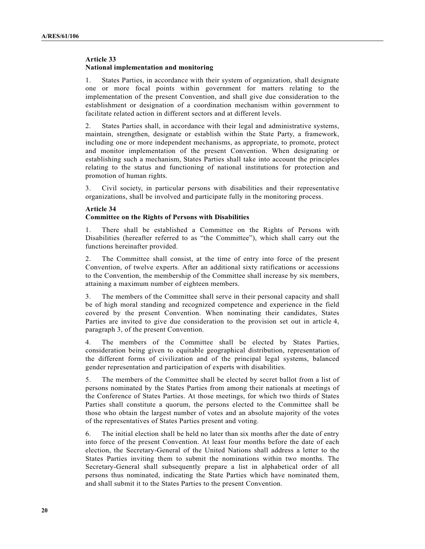# **Article 33 National implementation and monitoring**

1. States Parties, in accordance with their system of organization, shall designate one or more focal points within government for matters relating to the implementation of the present Convention, and shall give due consideration to the establishment or designation of a coordination mechanism within government to facilitate related action in different sectors and at different levels.

2. States Parties shall, in accordance with their legal and administrative systems, maintain, strengthen, designate or establish within the State Party, a framework, including one or more independent mechanisms, as appropriate, to promote, protect and monitor implementation of the present Convention. When designating or establishing such a mechanism, States Parties shall take into account the principles relating to the status and functioning of national institutions for protection and promotion of human rights.

3. Civil society, in particular persons with disabilities and their representative organizations, shall be involved and participate fully in the monitoring process.

# **Article 34**

# **Committee on the Rights of Persons with Disabilities**

1. There shall be established a Committee on the Rights of Persons with Disabilities (hereafter referred to as "the Committee"), which shall carry out the functions hereinafter provided.

2. The Committee shall consist, at the time of entry into force of the present Convention, of twelve experts. After an additional sixty ratifications or accessions to the Convention, the membership of the Committee shall increase by six members, attaining a maximum number of eighteen members.

3. The members of the Committee shall serve in their personal capacity and shall be of high moral standing and recognized competence and experience in the field covered by the present Convention. When nominating their candidates, States Parties are invited to give due consideration to the provision set out in article 4, paragraph 3, of the present Convention.

4. The members of the Committee shall be elected by States Parties, consideration being given to equitable geographical distribution, representation of the different forms of civilization and of the principal legal systems, balanced gender representation and participation of experts with disabilities.

5. The members of the Committee shall be elected by secret ballot from a list of persons nominated by the States Parties from among their nationals at meetings of the Conference of States Parties. At those meetings, for which two thirds of States Parties shall constitute a quorum, the persons elected to the Committee shall be those who obtain the largest number of votes and an absolute majority of the votes of the representatives of States Parties present and voting.

6. The initial election shall be held no later than six months after the date of entry into force of the present Convention. At least four months before the date of each election, the Secretary-General of the United Nations shall address a letter to the States Parties inviting them to submit the nominations within two months. The Secretary-General shall subsequently prepare a list in alphabetical order of all persons thus nominated, indicating the State Parties which have nominated them, and shall submit it to the States Parties to the present Convention.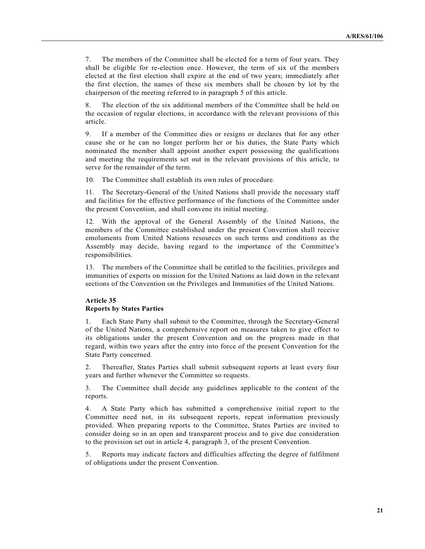7. The members of the Committee shall be elected for a term of four years. They shall be eligible for re-election once. However, the term of six of the members elected at the first election shall expire at the end of two years; immediately after the first election, the names of these six members shall be chosen by lot by the chairperson of the meeting referred to in paragraph 5 of this article.

8. The election of the six additional members of the Committee shall be held on the occasion of regular elections, in accordance with the relevant provisions of this article.

9. If a member of the Committee dies or resigns or declares that for any other cause she or he can no longer perform her or his duties, the State Party which nominated the member shall appoint another expert possessing the qualifications and meeting the requirements set out in the relevant provisions of this article, to serve for the remainder of the term.

10. The Committee shall establish its own rules of procedure.

11. The Secretary-General of the United Nations shall provide the necessary staff and facilities for the effective performance of the functions of the Committee under the present Convention, and shall convene its initial meeting.

12. With the approval of the General Assembly of the United Nations, the members of the Committee established under the present Convention shall receive emoluments from United Nations resources on such terms and conditions as the Assembly may decide, having regard to the importance of the Committee's responsibilities.

13. The members of the Committee shall be entitled to the facilities, privileges and immunities of experts on mission for the United Nations as laid down in the relevant sections of the Convention on the Privileges and Immunities of the United Nations.

# **Article 35 Reports by States Parties**

1. Each State Party shall submit to the Committee, through the Secretary-General of the United Nations, a comprehensive report on measures taken to give effect to its obligations under the present Convention and on the progress made in that regard, within two years after the entry into force of the present Convention for the State Party concerned.

2. Thereafter, States Parties shall submit subsequent reports at least every four years and further whenever the Committee so requests.

3. The Committee shall decide any guidelines applicable to the content of the reports.

4. A State Party which has submitted a comprehensive initial report to the Committee need not, in its subsequent reports, repeat information previously provided. When preparing reports to the Committee, States Parties are invited to consider doing so in an open and transparent process and to give due consideration to the provision set out in article 4, paragraph 3, of the present Convention.

5. Reports may indicate factors and difficulties affecting the degree of fulfilment of obligations under the present Convention.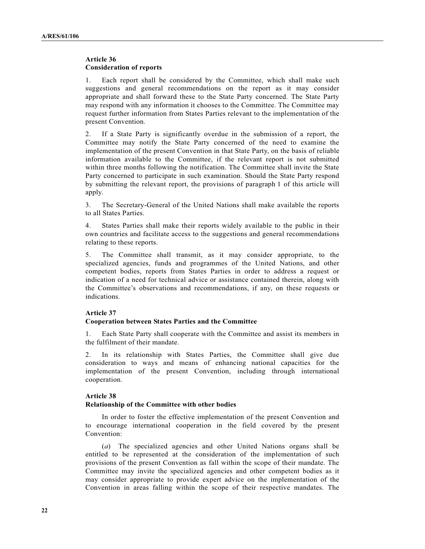# **Article 36 Consideration of reports**

1. Each report shall be considered by the Committee, which shall make such suggestions and general recommendations on the report as it may consider appropriate and shall forward these to the State Party concerned. The State Party may respond with any information it chooses to the Committee. The Committee may request further information from States Parties relevant to the implementation of the present Convention.

2. If a State Party is significantly overdue in the submission of a report, the Committee may notify the State Party concerned of the need to examine the implementation of the present Convention in that State Party, on the basis of reliable information available to the Committee, if the relevant report is not submitted within three months following the notification. The Committee shall invite the State Party concerned to participate in such examination. Should the State Party respond by submitting the relevant report, the provisions of paragraph 1 of this article will apply.

3. The Secretary-General of the United Nations shall make available the reports to all States Parties.

4. States Parties shall make their reports widely available to the public in their own countries and facilitate access to the suggestions and general recommendations relating to these reports.

5. The Committee shall transmit, as it may consider appropriate, to the specialized agencies, funds and programmes of the United Nations, and other competent bodies, reports from States Parties in order to address a request or indication of a need for technical advice or assistance contained therein, along with the Committee's observations and recommendations, if any, on these requests or indications.

# **Article 37**

# **Cooperation between States Parties and the Committee**

1. Each State Party shall cooperate with the Committee and assist its members in the fulfilment of their mandate.

2. In its relationship with States Parties, the Committee shall give due consideration to ways and means of enhancing national capacities for the implementation of the present Convention, including through international cooperation.

# **Article 38**

#### **Relationship of the Committee with other bodies**

 In order to foster the effective implementation of the present Convention and to encourage international cooperation in the field covered by the present Convention:

 (*a*) The specialized agencies and other United Nations organs shall be entitled to be represented at the consideration of the implementation of such provisions of the present Convention as fall within the scope of their mandate. The Committee may invite the specialized agencies and other competent bodies as it may consider appropriate to provide expert advice on the implementation of the Convention in areas falling within the scope of their respective mandates. The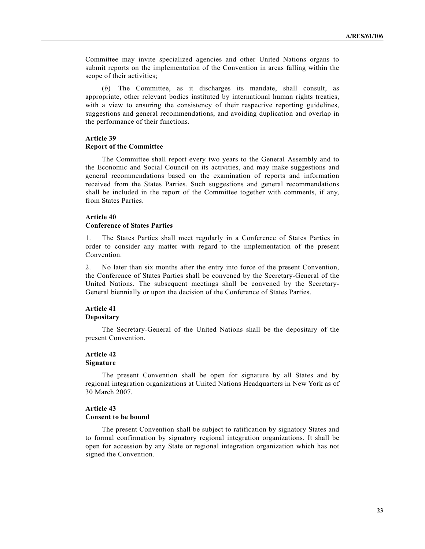Committee may invite specialized agencies and other United Nations organs to submit reports on the implementation of the Convention in areas falling within the scope of their activities;

 (*b*) The Committee, as it discharges its mandate, shall consult, as appropriate, other relevant bodies instituted by international human rights treaties, with a view to ensuring the consistency of their respective reporting guidelines, suggestions and general recommendations, and avoiding duplication and overlap in the performance of their functions.

# **Article 39**

#### **Report of the Committee**

 The Committee shall report every two years to the General Assembly and to the Economic and Social Council on its activities, and may make suggestions and general recommendations based on the examination of reports and information received from the States Parties. Such suggestions and general recommendations shall be included in the report of the Committee together with comments, if any, from States Parties.

# **Article 40**

# **Conference of States Parties**

1. The States Parties shall meet regularly in a Conference of States Parties in order to consider any matter with regard to the implementation of the present Convention.

2. No later than six months after the entry into force of the present Convention, the Conference of States Parties shall be convened by the Secretary-General of the United Nations. The subsequent meetings shall be convened by the Secretary-General biennially or upon the decision of the Conference of States Parties.

#### **Article 41 Depositary**

 The Secretary-General of the United Nations shall be the depositary of the present Convention.

#### **Article 42 Signature**

 The present Convention shall be open for signature by all States and by regional integration organizations at United Nations Headquarters in New York as of 30 March 2007.

# **Article 43**

#### **Consent to be bound**

 The present Convention shall be subject to ratification by signatory States and to formal confirmation by signatory regional integration organizations. It shall be open for accession by any State or regional integration organization which has not signed the Convention.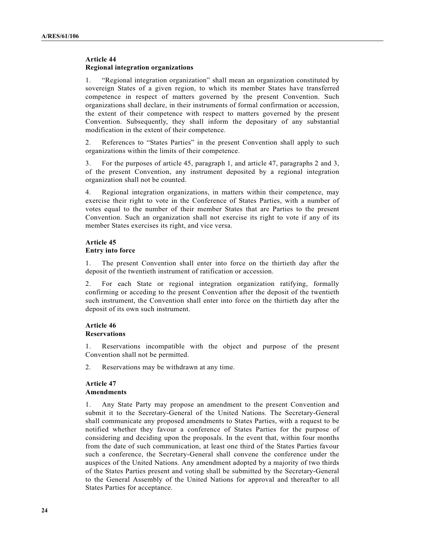# **Article 44 Regional integration organizations**

1. "Regional integration organization" shall mean an organization constituted by sovereign States of a given region, to which its member States have transferred competence in respect of matters governed by the present Convention. Such organizations shall declare, in their instruments of formal confirmation or accession, the extent of their competence with respect to matters governed by the present Convention. Subsequently, they shall inform the depositary of any substantial modification in the extent of their competence.

2. References to "States Parties" in the present Convention shall apply to such organizations within the limits of their competence.

3. For the purposes of article 45, paragraph 1, and article 47, paragraphs 2 and 3, of the present Convention, any instrument deposited by a regional integration organization shall not be counted.

4. Regional integration organizations, in matters within their competence, may exercise their right to vote in the Conference of States Parties, with a number of votes equal to the number of their member States that are Parties to the present Convention. Such an organization shall not exercise its right to vote if any of its member States exercises its right, and vice versa.

# **Article 45 Entry into force**

1. The present Convention shall enter into force on the thirtieth day after the deposit of the twentieth instrument of ratification or accession.

2. For each State or regional integration organization ratifying, formally confirming or acceding to the present Convention after the deposit of the twentieth such instrument, the Convention shall enter into force on the thirtieth day after the deposit of its own such instrument.

# **Article 46 Reservations**

1. Reservations incompatible with the object and purpose of the present Convention shall not be permitted.

2. Reservations may be withdrawn at any time.

# **Article 47 Amendments**

1. Any State Party may propose an amendment to the present Convention and submit it to the Secretary-General of the United Nations. The Secretary-General shall communicate any proposed amendments to States Parties, with a request to be notified whether they favour a conference of States Parties for the purpose of considering and deciding upon the proposals. In the event that, within four months from the date of such communication, at least one third of the States Parties favour such a conference, the Secretary-General shall convene the conference under the auspices of the United Nations. Any amendment adopted by a majority of two thirds of the States Parties present and voting shall be submitted by the Secretary-General to the General Assembly of the United Nations for approval and thereafter to all States Parties for acceptance.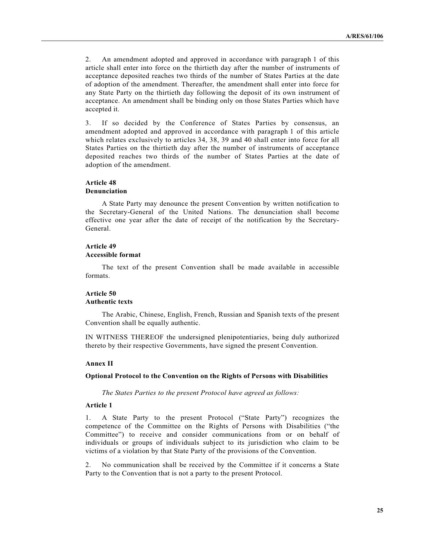2. An amendment adopted and approved in accordance with paragraph 1 of this article shall enter into force on the thirtieth day after the number of instruments of acceptance deposited reaches two thirds of the number of States Parties at the date of adoption of the amendment. Thereafter, the amendment shall enter into force for any State Party on the thirtieth day following the deposit of its own instrument of acceptance. An amendment shall be binding only on those States Parties which have accepted it.

3. If so decided by the Conference of States Parties by consensus, an amendment adopted and approved in accordance with paragraph 1 of this article which relates exclusively to articles 34, 38, 39 and 40 shall enter into force for all States Parties on the thirtieth day after the number of instruments of acceptance deposited reaches two thirds of the number of States Parties at the date of adoption of the amendment.

#### **Article 48 Denunciation**

 A State Party may denounce the present Convention by written notification to the Secretary-General of the United Nations. The denunciation shall become effective one year after the date of receipt of the notification by the Secretary-General.

# **Article 49 Accessible format**

 The text of the present Convention shall be made available in accessible formats.

# **Article 50 Authentic texts**

 The Arabic, Chinese, English, French, Russian and Spanish texts of the present Convention shall be equally authentic.

IN WITNESS THEREOF the undersigned plenipotentiaries, being duly authorized thereto by their respective Governments, have signed the present Convention.

# **Annex II**

#### **Optional Protocol to the Convention on the Rights of Persons with Disabilities**

*The States Parties to the present Protocol have agreed as follows:*

# **Article 1**

1. A State Party to the present Protocol ("State Party") recognizes the competence of the Committee on the Rights of Persons with Disabilities ("the Committee") to receive and consider communications from or on behalf of individuals or groups of individuals subject to its jurisdiction who claim to be victims of a violation by that State Party of the provisions of the Convention.

2. No communication shall be received by the Committee if it concerns a State Party to the Convention that is not a party to the present Protocol.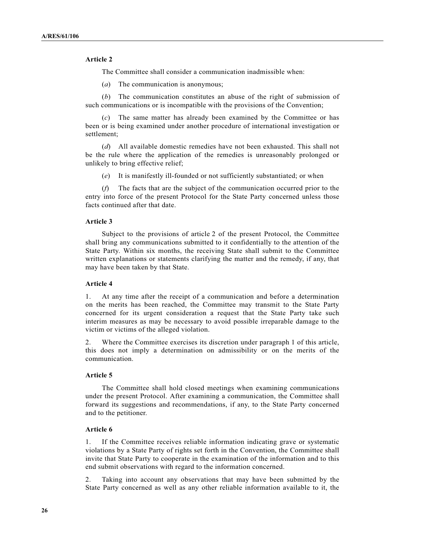#### **Article 2**

The Committee shall consider a communication inadmissible when:

(*a*) The communication is anonymous;

 (*b*) The communication constitutes an abuse of the right of submission of such communications or is incompatible with the provisions of the Convention;

 (*c*) The same matter has already been examined by the Committee or has been or is being examined under another procedure of international investigation or settlement;

 (*d*) All available domestic remedies have not been exhausted. This shall not be the rule where the application of the remedies is unreasonably prolonged or unlikely to bring effective relief;

(*e*) It is manifestly ill-founded or not sufficiently substantiated; or when

 (*f*) The facts that are the subject of the communication occurred prior to the entry into force of the present Protocol for the State Party concerned unless those facts continued after that date.

#### **Article 3**

 Subject to the provisions of article 2 of the present Protocol, the Committee shall bring any communications submitted to it confidentially to the attention of the State Party. Within six months, the receiving State shall submit to the Committee written explanations or statements clarifying the matter and the remedy, if any, that may have been taken by that State.

#### **Article 4**

1. At any time after the receipt of a communication and before a determination on the merits has been reached, the Committee may transmit to the State Party concerned for its urgent consideration a request that the State Party take such interim measures as may be necessary to avoid possible irreparable damage to the victim or victims of the alleged violation.

2. Where the Committee exercises its discretion under paragraph 1 of this article, this does not imply a determination on admissibility or on the merits of the communication.

#### **Article 5**

 The Committee shall hold closed meetings when examining communications under the present Protocol. After examining a communication, the Committee shall forward its suggestions and recommendations, if any, to the State Party concerned and to the petitioner.

# **Article 6**

1. If the Committee receives reliable information indicating grave or systematic violations by a State Party of rights set forth in the Convention, the Committee shall invite that State Party to cooperate in the examination of the information and to this end submit observations with regard to the information concerned.

2. Taking into account any observations that may have been submitted by the State Party concerned as well as any other reliable information available to it, the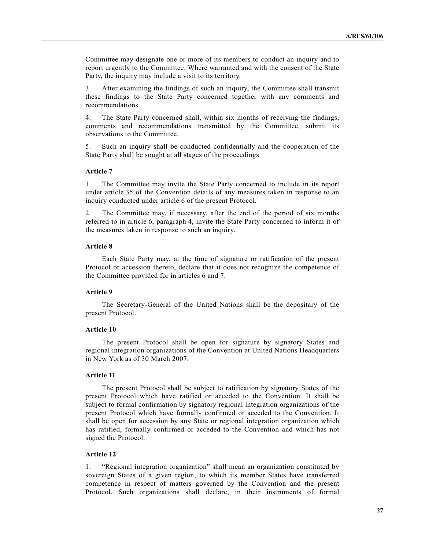Committee may designate one or more of its members to conduct an inquiry and to report urgently to the Committee. Where warranted and with the consent of the State Party, the inquiry may include a visit to its territory.

3. After examining the findings of such an inquiry, the Committee shall transmit these findings to the State Party concerned together with any comments and recommendations.

4. The State Party concerned shall, within six months of receiving the findings, comments and recommendations transmitted by the Committee, submit its observations to the Committee.

5. Such an inquiry shall be conducted confidentially and the cooperation of the State Party shall be sought at all stages of the proceedings.

#### **Article 7**

1. The Committee may invite the State Party concerned to include in its report under article 35 of the Convention details of any measures taken in response to an inquiry conducted under article 6 of the present Protocol.

2. The Committee may, if necessary, after the end of the period of six months referred to in article 6, paragraph 4, invite the State Party concerned to inform it of the measures taken in response to such an inquiry.

#### **Article 8**

 Each State Party may, at the time of signature or ratification of the present Protocol or accession thereto, declare that it does not recognize the competence of the Committee provided for in articles 6 and 7.

#### **Article 9**

 The Secretary-General of the United Nations shall be the depositary of the present Protocol.

#### **Article 10**

 The present Protocol shall be open for signature by signatory States and regional integration organizations of the Convention at United Nations Headquarters in New York as of 30 March 2007.

#### **Article 11**

 The present Protocol shall be subject to ratification by signatory States of the present Protocol which have ratified or acceded to the Convention. It shall be subject to formal confirmation by signatory regional integration organizations of the present Protocol which have formally confirmed or acceded to the Convention. It shall be open for accession by any State or regional integration organization which has ratified, formally confirmed or acceded to the Convention and which has not signed the Protocol.

# **Article 12**

1. "Regional integration organization" shall mean an organization constituted by sovereign States of a given region, to which its member States have transferred competence in respect of matters governed by the Convention and the present Protocol. Such organizations shall declare, in their instruments of formal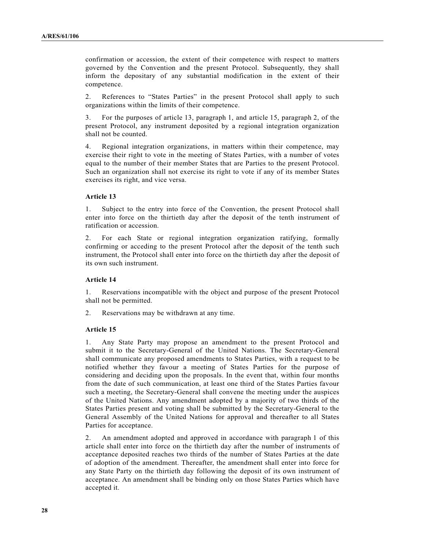confirmation or accession, the extent of their competence with respect to matters governed by the Convention and the present Protocol. Subsequently, they shall inform the depositary of any substantial modification in the extent of their competence.

2. References to "States Parties" in the present Protocol shall apply to such organizations within the limits of their competence.

3. For the purposes of article 13, paragraph 1, and article 15, paragraph 2, of the present Protocol, any instrument deposited by a regional integration organization shall not be counted.

4. Regional integration organizations, in matters within their competence, may exercise their right to vote in the meeting of States Parties, with a number of votes equal to the number of their member States that are Parties to the present Protocol. Such an organization shall not exercise its right to vote if any of its member States exercises its right, and vice versa.

# **Article 13**

1. Subject to the entry into force of the Convention, the present Protocol shall enter into force on the thirtieth day after the deposit of the tenth instrument of ratification or accession.

2. For each State or regional integration organization ratifying, formally confirming or acceding to the present Protocol after the deposit of the tenth such instrument, the Protocol shall enter into force on the thirtieth day after the deposit of its own such instrument.

#### **Article 14**

1. Reservations incompatible with the object and purpose of the present Protocol shall not be permitted.

2. Reservations may be withdrawn at any time.

#### **Article 15**

1. Any State Party may propose an amendment to the present Protocol and submit it to the Secretary-General of the United Nations. The Secretary-General shall communicate any proposed amendments to States Parties, with a request to be notified whether they favour a meeting of States Parties for the purpose of considering and deciding upon the proposals. In the event that, within four months from the date of such communication, at least one third of the States Parties favour such a meeting, the Secretary-General shall convene the meeting under the auspices of the United Nations. Any amendment adopted by a majority of two thirds of the States Parties present and voting shall be submitted by the Secretary-General to the General Assembly of the United Nations for approval and thereafter to all States Parties for acceptance.

2. An amendment adopted and approved in accordance with paragraph 1 of this article shall enter into force on the thirtieth day after the number of instruments of acceptance deposited reaches two thirds of the number of States Parties at the date of adoption of the amendment. Thereafter, the amendment shall enter into force for any State Party on the thirtieth day following the deposit of its own instrument of acceptance. An amendment shall be binding only on those States Parties which have accepted it.